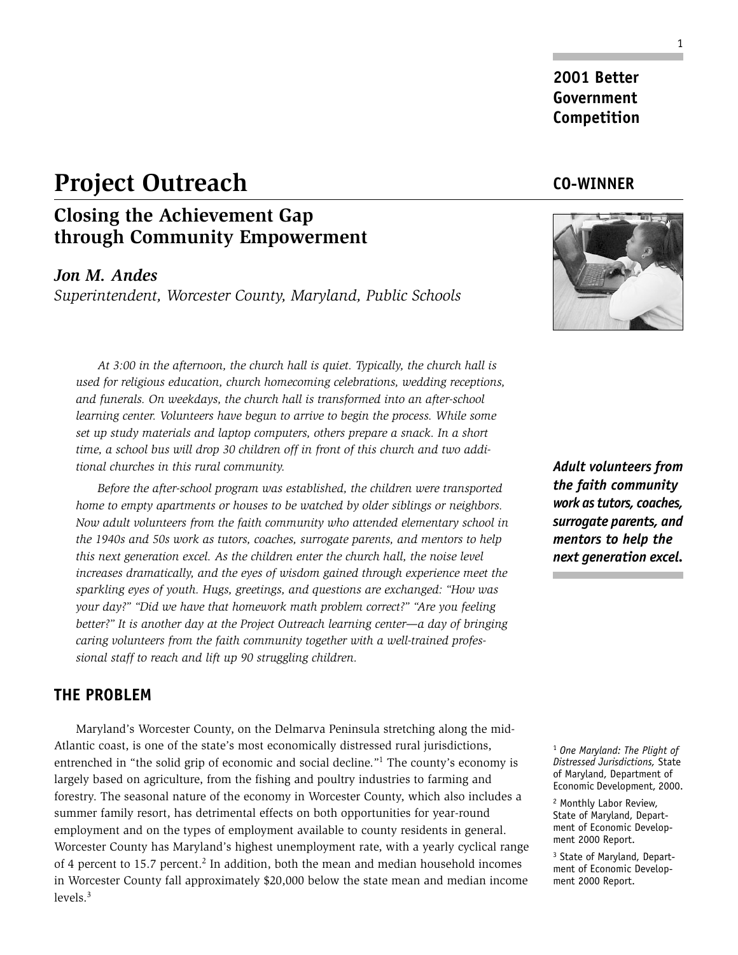# **Project Outreach**

## **Closing the Achievement Gap through Community Empowerment**

#### *Jon M. Andes*

*Superintendent, Worcester County, Maryland, Public Schools*

*At 3:00 in the afternoon, the church hall is quiet. Typically, the church hall is used for religious education, church homecoming celebrations, wedding receptions, and funerals. On weekdays, the church hall is transformed into an after-school learning center. Volunteers have begun to arrive to begin the process. While some set up study materials and laptop computers, others prepare a snack. In a short time, a school bus will drop 30 children off in front of this church and two additional churches in this rural community.*

*Before the after-school program was established, the children were transported home to empty apartments or houses to be watched by older siblings or neighbors. Now adult volunteers from the faith community who attended elementary school in the 1940s and 50s work as tutors, coaches, surrogate parents, and mentors to help this next generation excel. As the children enter the church hall, the noise level increases dramatically, and the eyes of wisdom gained through experience meet the sparkling eyes of youth. Hugs, greetings, and questions are exchanged: "How was your day?" "Did we have that homework math problem correct?" "Are you feeling better?" It is another day at the Project Outreach learning center—a day of bringing caring volunteers from the faith community together with a well-trained professional staff to reach and lift up 90 struggling children.*

#### **THE PROBLEM**

Maryland's Worcester County, on the Delmarva Peninsula stretching along the mid-Atlantic coast, is one of the state's most economically distressed rural jurisdictions, entrenched in "the solid grip of economic and social decline."1 The county's economy is largely based on agriculture, from the fishing and poultry industries to farming and forestry. The seasonal nature of the economy in Worcester County, which also includes a summer family resort, has detrimental effects on both opportunities for year-round employment and on the types of employment available to county residents in general. Worcester County has Maryland's highest unemployment rate, with a yearly cyclical range of 4 percent to 15.7 percent.2 In addition, both the mean and median household incomes in Worcester County fall approximately \$20,000 below the state mean and median income levels.<sup>3</sup>

*Adult volunteers from the faith community work as tutors, coaches, surrogate parents, and mentors to help the next generation excel.*

**CO-WINNER**

**2001 Better Government Competition**

<sup>1</sup> *One Maryland: The Plight of Distressed Jurisdictions,* State of Maryland, Department of Economic Development, 2000.

2 Monthly Labor Review, State of Maryland, Department of Economic Development 2000 Report.

<sup>3</sup> State of Maryland, Department of Economic Development 2000 Report.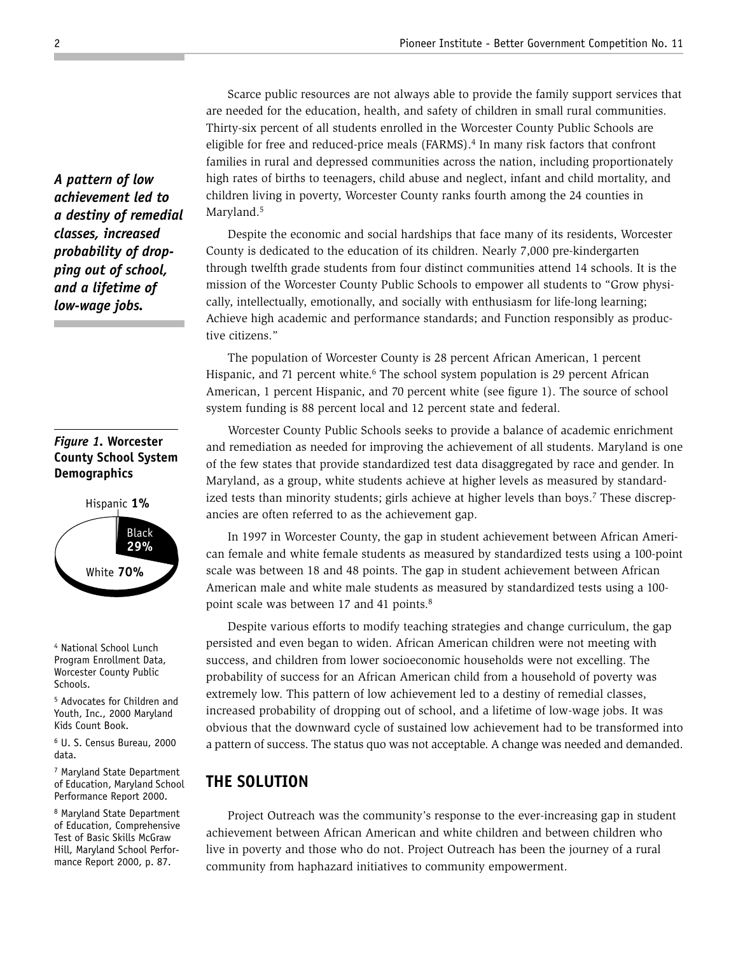Scarce public resources are not always able to provide the family support services that are needed for the education, health, and safety of children in small rural communities. Thirty-six percent of all students enrolled in the Worcester County Public Schools are eligible for free and reduced-price meals  $(FARMS)$ .<sup>4</sup> In many risk factors that confront families in rural and depressed communities across the nation, including proportionately high rates of births to teenagers, child abuse and neglect, infant and child mortality, and children living in poverty, Worcester County ranks fourth among the 24 counties in Maryland.<sup>5</sup>

Despite the economic and social hardships that face many of its residents, Worcester County is dedicated to the education of its children. Nearly 7,000 pre-kindergarten through twelfth grade students from four distinct communities attend 14 schools. It is the mission of the Worcester County Public Schools to empower all students to "Grow physically, intellectually, emotionally, and socially with enthusiasm for life-long learning; Achieve high academic and performance standards; and Function responsibly as productive citizens."

The population of Worcester County is 28 percent African American, 1 percent Hispanic, and 71 percent white.<sup>6</sup> The school system population is 29 percent African American, 1 percent Hispanic, and 70 percent white (see figure 1). The source of school system funding is 88 percent local and 12 percent state and federal.

Worcester County Public Schools seeks to provide a balance of academic enrichment and remediation as needed for improving the achievement of all students. Maryland is one of the few states that provide standardized test data disaggregated by race and gender. In Maryland, as a group, white students achieve at higher levels as measured by standardized tests than minority students; girls achieve at higher levels than boys.<sup>7</sup> These discrepancies are often referred to as the achievement gap.

In 1997 in Worcester County, the gap in student achievement between African American female and white female students as measured by standardized tests using a 100-point scale was between 18 and 48 points. The gap in student achievement between African American male and white male students as measured by standardized tests using a 100 point scale was between 17 and 41 points.<sup>8</sup>

Despite various efforts to modify teaching strategies and change curriculum, the gap persisted and even began to widen. African American children were not meeting with success, and children from lower socioeconomic households were not excelling. The probability of success for an African American child from a household of poverty was extremely low. This pattern of low achievement led to a destiny of remedial classes, increased probability of dropping out of school, and a lifetime of low-wage jobs. It was obvious that the downward cycle of sustained low achievement had to be transformed into a pattern of success. The status quo was not acceptable. A change was needed and demanded.

### **THE SOLUTION**

Project Outreach was the community's response to the ever-increasing gap in student achievement between African American and white children and between children who live in poverty and those who do not. Project Outreach has been the journey of a rural community from haphazard initiatives to community empowerment.

*A pattern of low achievement led to a destiny of remedial classes, increased probability of dropping out of school, and a lifetime of low-wage jobs.*

#### *Figure 1.* **Worcester County School System Demographics**



4 National School Lunch Program Enrollment Data, Worcester County Public Schools.

5 Advocates for Children and Youth, Inc., 2000 Maryland Kids Count Book.

6 U. S. Census Bureau, 2000 data.

7 Maryland State Department of Education, Maryland School Performance Report 2000.

8 Maryland State Department of Education, Comprehensive Test of Basic Skills McGraw Hill, Maryland School Performance Report 2000, p. 87.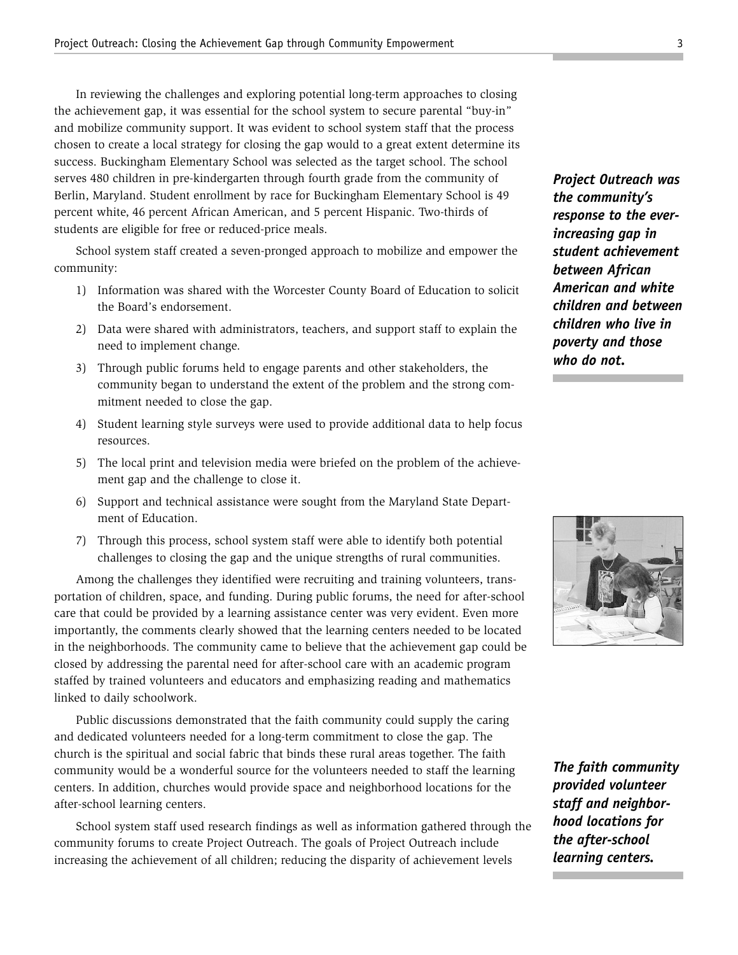In reviewing the challenges and exploring potential long-term approaches to closing the achievement gap, it was essential for the school system to secure parental "buy-in" and mobilize community support. It was evident to school system staff that the process chosen to create a local strategy for closing the gap would to a great extent determine its success. Buckingham Elementary School was selected as the target school. The school serves 480 children in pre-kindergarten through fourth grade from the community of Berlin, Maryland. Student enrollment by race for Buckingham Elementary School is 49 percent white, 46 percent African American, and 5 percent Hispanic. Two-thirds of students are eligible for free or reduced-price meals.

School system staff created a seven-pronged approach to mobilize and empower the community:

- 1) Information was shared with the Worcester County Board of Education to solicit the Board's endorsement.
- 2) Data were shared with administrators, teachers, and support staff to explain the need to implement change.
- 3) Through public forums held to engage parents and other stakeholders, the community began to understand the extent of the problem and the strong commitment needed to close the gap.
- 4) Student learning style surveys were used to provide additional data to help focus resources.
- 5) The local print and television media were briefed on the problem of the achievement gap and the challenge to close it.
- 6) Support and technical assistance were sought from the Maryland State Department of Education.
- 7) Through this process, school system staff were able to identify both potential challenges to closing the gap and the unique strengths of rural communities.

Among the challenges they identified were recruiting and training volunteers, transportation of children, space, and funding. During public forums, the need for after-school care that could be provided by a learning assistance center was very evident. Even more importantly, the comments clearly showed that the learning centers needed to be located in the neighborhoods. The community came to believe that the achievement gap could be closed by addressing the parental need for after-school care with an academic program staffed by trained volunteers and educators and emphasizing reading and mathematics linked to daily schoolwork.

Public discussions demonstrated that the faith community could supply the caring and dedicated volunteers needed for a long-term commitment to close the gap. The church is the spiritual and social fabric that binds these rural areas together. The faith community would be a wonderful source for the volunteers needed to staff the learning centers. In addition, churches would provide space and neighborhood locations for the after-school learning centers.

School system staff used research findings as well as information gathered through the community forums to create Project Outreach. The goals of Project Outreach include increasing the achievement of all children; reducing the disparity of achievement levels

*Project Outreach was the community's response to the everincreasing gap in student achievement between African American and white children and between children who live in poverty and those who do not.*



*The faith community provided volunteer staff and neighborhood locations for the after-school learning centers.*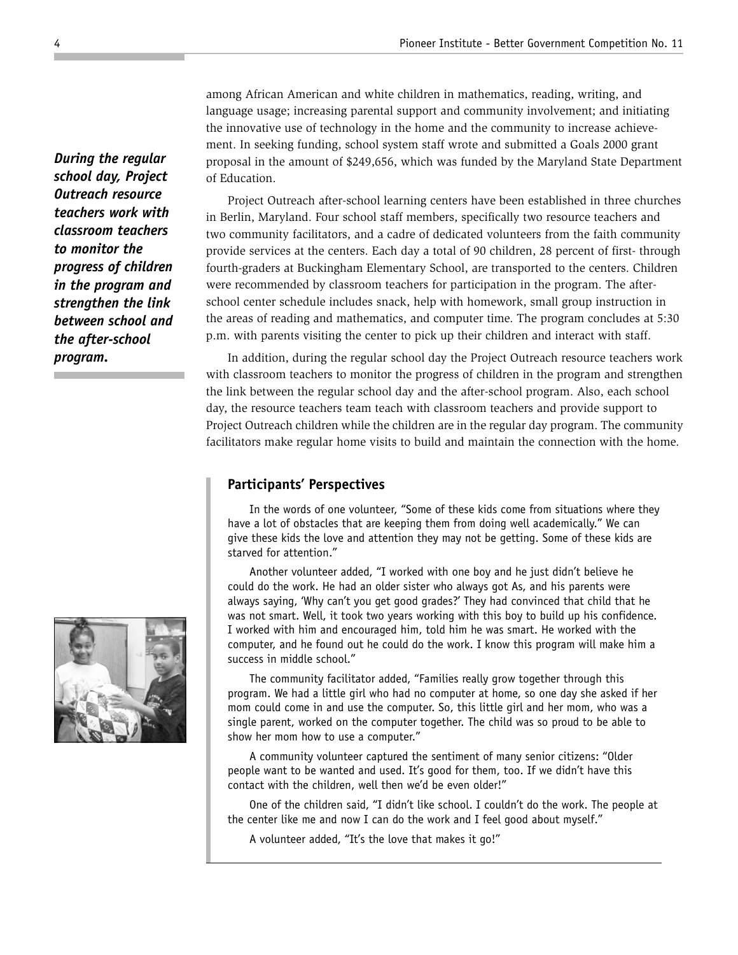among African American and white children in mathematics, reading, writing, and language usage; increasing parental support and community involvement; and initiating the innovative use of technology in the home and the community to increase achievement. In seeking funding, school system staff wrote and submitted a Goals 2000 grant proposal in the amount of \$249,656, which was funded by the Maryland State Department of Education.

Project Outreach after-school learning centers have been established in three churches in Berlin, Maryland. Four school staff members, specifically two resource teachers and two community facilitators, and a cadre of dedicated volunteers from the faith community provide services at the centers. Each day a total of 90 children, 28 percent of first- through fourth-graders at Buckingham Elementary School, are transported to the centers. Children were recommended by classroom teachers for participation in the program. The afterschool center schedule includes snack, help with homework, small group instruction in the areas of reading and mathematics, and computer time. The program concludes at 5:30 p.m. with parents visiting the center to pick up their children and interact with staff.

In addition, during the regular school day the Project Outreach resource teachers work with classroom teachers to monitor the progress of children in the program and strengthen the link between the regular school day and the after-school program. Also, each school day, the resource teachers team teach with classroom teachers and provide support to Project Outreach children while the children are in the regular day program. The community facilitators make regular home visits to build and maintain the connection with the home.

#### **Participants' Perspectives**

In the words of one volunteer, "Some of these kids come from situations where they have a lot of obstacles that are keeping them from doing well academically." We can give these kids the love and attention they may not be getting. Some of these kids are starved for attention."

Another volunteer added, "I worked with one boy and he just didn't believe he could do the work. He had an older sister who always got As, and his parents were always saying, 'Why can't you get good grades?' They had convinced that child that he was not smart. Well, it took two years working with this boy to build up his confidence. I worked with him and encouraged him, told him he was smart. He worked with the computer, and he found out he could do the work. I know this program will make him a success in middle school."

The community facilitator added, "Families really grow together through this program. We had a little girl who had no computer at home, so one day she asked if her mom could come in and use the computer. So, this little girl and her mom, who was a single parent, worked on the computer together. The child was so proud to be able to show her mom how to use a computer."

A community volunteer captured the sentiment of many senior citizens: "Older people want to be wanted and used. It's good for them, too. If we didn't have this contact with the children, well then we'd be even older!"

One of the children said, "I didn't like school. I couldn't do the work. The people at the center like me and now I can do the work and I feel good about myself."

A volunteer added, "It's the love that makes it go!"

*During the regular school day, Project Outreach resource teachers work with classroom teachers to monitor the progress of children in the program and strengthen the link between school and the after-school program.*

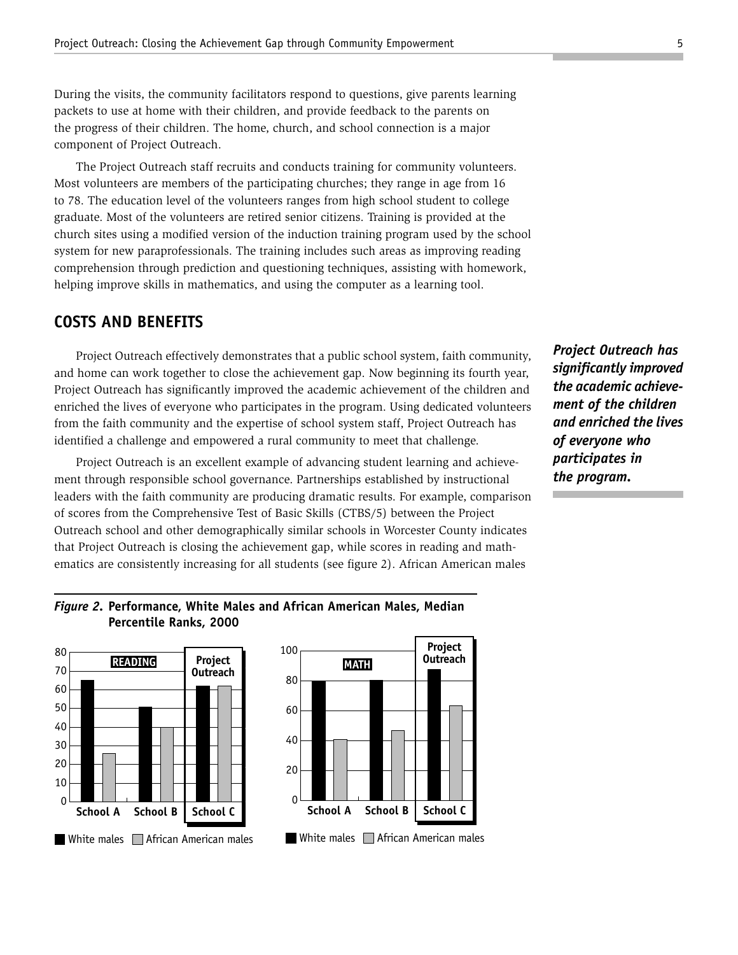During the visits, the community facilitators respond to questions, give parents learning packets to use at home with their children, and provide feedback to the parents on the progress of their children. The home, church, and school connection is a major component of Project Outreach.

The Project Outreach staff recruits and conducts training for community volunteers. Most volunteers are members of the participating churches; they range in age from 16 to 78. The education level of the volunteers ranges from high school student to college graduate. Most of the volunteers are retired senior citizens. Training is provided at the church sites using a modified version of the induction training program used by the school system for new paraprofessionals. The training includes such areas as improving reading comprehension through prediction and questioning techniques, assisting with homework, helping improve skills in mathematics, and using the computer as a learning tool.

#### **COSTS AND BENEFITS**

Project Outreach effectively demonstrates that a public school system, faith community, and home can work together to close the achievement gap. Now beginning its fourth year, Project Outreach has significantly improved the academic achievement of the children and enriched the lives of everyone who participates in the program. Using dedicated volunteers from the faith community and the expertise of school system staff, Project Outreach has identified a challenge and empowered a rural community to meet that challenge.

Project Outreach is an excellent example of advancing student learning and achievement through responsible school governance. Partnerships established by instructional leaders with the faith community are producing dramatic results. For example, comparison of scores from the Comprehensive Test of Basic Skills (CTBS/5) between the Project Outreach school and other demographically similar schools in Worcester County indicates that Project Outreach is closing the achievement gap, while scores in reading and mathematics are consistently increasing for all students (see figure 2). African American males

*Project Outreach has significantly improved the academic achievement of the children and enriched the lives of everyone who participates in the program.*

#### *Figure 2.* **Performance, White Males and African American Males, Median Percentile Ranks, 2000**





 $\overline{\phantom{0}}$ 

20

40

60

80

100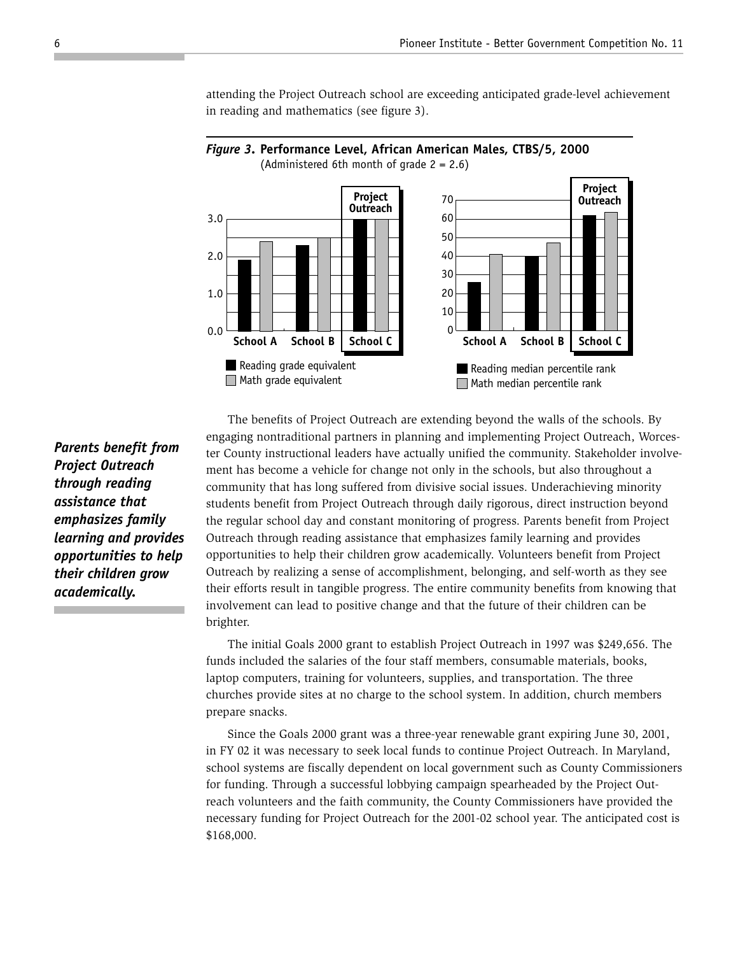

attending the Project Outreach school are exceeding anticipated grade-level achievement in reading and mathematics (see figure 3).

*Parents benefit from Project Outreach through reading assistance that emphasizes family learning and provides opportunities to help their children grow academically.*

The benefits of Project Outreach are extending beyond the walls of the schools. By engaging nontraditional partners in planning and implementing Project Outreach, Worcester County instructional leaders have actually unified the community. Stakeholder involvement has become a vehicle for change not only in the schools, but also throughout a community that has long suffered from divisive social issues. Underachieving minority students benefit from Project Outreach through daily rigorous, direct instruction beyond the regular school day and constant monitoring of progress. Parents benefit from Project Outreach through reading assistance that emphasizes family learning and provides opportunities to help their children grow academically. Volunteers benefit from Project Outreach by realizing a sense of accomplishment, belonging, and self-worth as they see their efforts result in tangible progress. The entire community benefits from knowing that involvement can lead to positive change and that the future of their children can be brighter.

The initial Goals 2000 grant to establish Project Outreach in 1997 was \$249,656. The funds included the salaries of the four staff members, consumable materials, books, laptop computers, training for volunteers, supplies, and transportation. The three churches provide sites at no charge to the school system. In addition, church members prepare snacks.

Since the Goals 2000 grant was a three-year renewable grant expiring June 30, 2001, in FY 02 it was necessary to seek local funds to continue Project Outreach. In Maryland, school systems are fiscally dependent on local government such as County Commissioners for funding. Through a successful lobbying campaign spearheaded by the Project Outreach volunteers and the faith community, the County Commissioners have provided the necessary funding for Project Outreach for the 2001-02 school year. The anticipated cost is \$168,000.